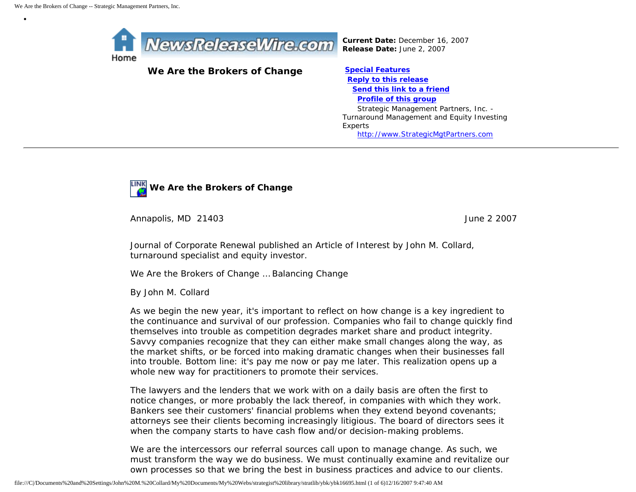•



*Current Date:* December 16, 2007 *Release Date:* June 2, 2007

## We Are the Brokers of Change **[Special Features](javascript:openlittleme()**

 **[Reply to this release](file:///C|/Documents%20and%20Settings/John%20M.%20Collard/My%20Documents/My%20Webs/strategist%20library/stratlib/ybk/default.cfm?Action=ReplyRelease&Id=16695) [Send this link to a friend](file:///C|/Documents%20and%20Settings/John%20M.%20Collard/My%20Documents/My%20Webs/strategist%20library/stratlib/ybk/default.cfm?Action=SendLink&SendId=16695) [Profile of this group](file:///C|/Documents%20and%20Settings/John%20M.%20Collard/My%20Documents/My%20Webs/strategist%20library/stratlib/ybk/default.cfm?Action=Profile&ProfileId=623)** Strategic Management Partners, Inc. - Turnaround Management and Equity Investing Experts [http://www.StrategicMgtPartners.com](http://www.strategicmgtpartners.com/)



Annapolis, MD 21403 June 2 2007

Journal of Corporate Renewal published an Article of Interest by John M. Collard, turnaround specialist and equity investor.

We Are the Brokers of Change … Balancing Change

By John M. Collard

As we begin the new year, it's important to reflect on how change is a key ingredient to the continuance and survival of our profession. Companies who fail to change quickly find themselves into trouble as competition degrades market share and product integrity. Savvy companies recognize that they can either make small changes along the way, as the market shifts, or be forced into making dramatic changes when their businesses fall into trouble. Bottom line: it's pay me now or pay me later. This realization opens up a whole new way for practitioners to promote their services.

The lawyers and the lenders that we work with on a daily basis are often the first to notice changes, or more probably the lack thereof, in companies with which they work. Bankers see their customers' financial problems when they extend beyond covenants; attorneys see their clients becoming increasingly litigious. The board of directors sees it when the company starts to have cash flow and/or decision-making problems.

We are the intercessors our referral sources call upon to manage change. As such, we must transform the way we do business. We must continually examine and revitalize our own processes so that we bring the best in business practices and advice to our clients.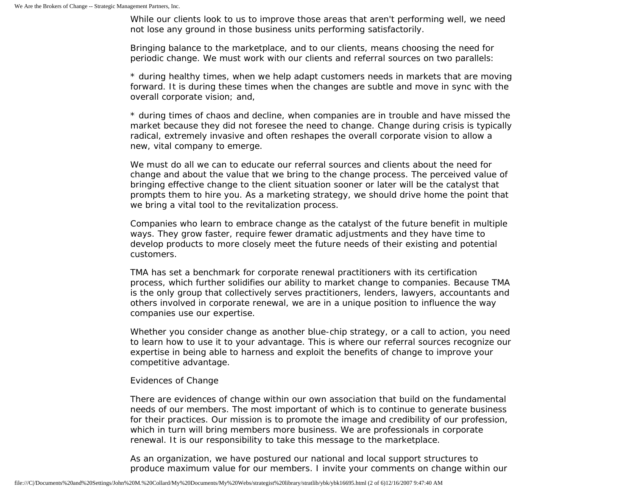While our clients look to us to improve those areas that aren't performing well, we need not lose any ground in those business units performing satisfactorily.

Bringing balance to the marketplace, and to our clients, means choosing the need for periodic change. We must work with our clients and referral sources on two parallels:

\* during healthy times, when we help adapt customers needs in markets that are moving forward. It is during these times when the changes are subtle and move in sync with the overall corporate vision; and,

\* during times of chaos and decline, when companies are in trouble and have missed the market because they did not foresee the need to change. Change during crisis is typically radical, extremely invasive and often reshapes the overall corporate vision to allow a new, vital company to emerge.

We must do all we can to educate our referral sources and clients about the need for change and about the value that we bring to the change process. The perceived value of bringing effective change to the client situation sooner or later will be the catalyst that prompts them to hire you. As a marketing strategy, we should drive home the point that we bring a vital tool to the revitalization process.

Companies who learn to embrace change as the catalyst of the future benefit in multiple ways. They grow faster, require fewer dramatic adjustments and they have time to develop products to more closely meet the future needs of their existing and potential customers.

TMA has set a benchmark for corporate renewal practitioners with its certification process, which further solidifies our ability to market change to companies. Because TMA is the only group that collectively serves practitioners, lenders, lawyers, accountants and others involved in corporate renewal, we are in a unique position to influence the way companies use our expertise.

Whether you consider change as another blue-chip strategy, or a call to action, you need to learn how to use it to your advantage. This is where our referral sources recognize our expertise in being able to harness and exploit the benefits of change to improve your competitive advantage.

## Evidences of Change

There are evidences of change within our own association that build on the fundamental needs of our members. The most important of which is to continue to generate business for their practices. Our mission is to promote the image and credibility of our profession, which in turn will bring members more business. We are professionals in corporate renewal. It is our responsibility to take this message to the marketplace.

As an organization, we have postured our national and local support structures to produce maximum value for our members. I invite your comments on change within our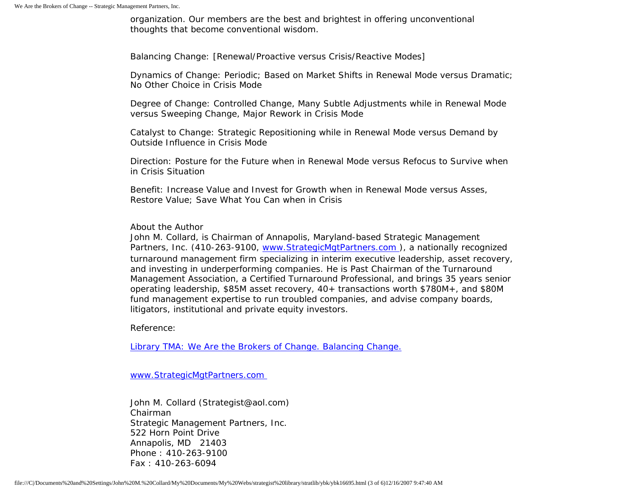organization. Our members are the best and brightest in offering unconventional thoughts that become conventional wisdom.

Balancing Change: [Renewal/Proactive versus Crisis/Reactive Modes]

Dynamics of Change: Periodic; Based on Market Shifts in Renewal Mode versus Dramatic; No Other Choice in Crisis Mode

Degree of Change: Controlled Change, Many Subtle Adjustments while in Renewal Mode versus Sweeping Change, Major Rework in Crisis Mode

Catalyst to Change: Strategic Repositioning while in Renewal Mode versus Demand by Outside Influence in Crisis Mode

Direction: Posture for the Future when in Renewal Mode versus Refocus to Survive when in Crisis Situation

Benefit: Increase Value and Invest for Growth when in Renewal Mode versus Asses, Restore Value; Save What You Can when in Crisis

## About the Author

John M. Collard, is Chairman of Annapolis, Maryland-based Strategic Management Partners, Inc. (410-263-9100, www.StrategicMgtPartners.com), a nationally recognized turnaround management firm specializing in interim executive leadership, asset recovery, and investing in underperforming companies. He is Past Chairman of the Turnaround Management Association, a Certified Turnaround Professional, and brings 35 years senior operating leadership, \$85M asset recovery, 40+ transactions worth \$780M+, and \$80M fund management expertise to run troubled companies, and advise company boards, litigators, institutional and private equity investors.

Reference:

[Library TMA: We Are the Brokers of Change. Balancing Change.](http://www.turnaround.org/news/letter.asp?objectID=2069)

[www.StrategicMgtPartners.com](http://www.strategicmgtpartners.com/)

John M. Collard (Strategist@aol.com) Chairman Strategic Management Partners, Inc. 522 Horn Point Drive Annapolis, MD 21403 Phone : 410-263-9100 Fax : 410-263-6094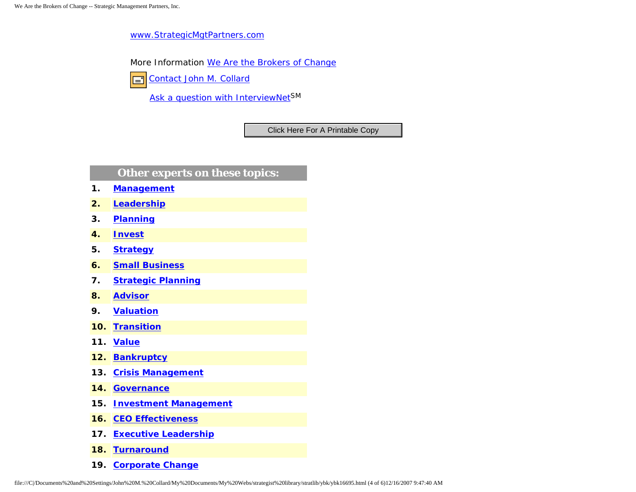[www.StrategicMgtPartners.com](http://www.strategicmgtpartners.com/)

More Information [We Are the Brokers of Change](http://www.turnaround.org/news/letter.asp?objectID=2069)

[Contact John M. Collard](http://www.expertclick.com/expertClick/contact/default.cfm?Action=ContactExpert&GroupID=1016) 囯

[Ask a question with InterviewNetS](http://www.expertclick.com/expertClick/contact/default.cfm?GroupID=1016)M

## **Other experts on these topics:**

- **1. [Management](http://www.expertclick.com/search/default.cfm?SearchCriteria=Management)**
- **2. [Leadership](http://www.expertclick.com/search/default.cfm?SearchCriteria=Leadership)**
- **3. [Planning](http://www.expertclick.com/search/default.cfm?SearchCriteria=Planning)**
- **4. [Invest](http://www.expertclick.com/search/default.cfm?SearchCriteria=Invest)**
- **5. [Strategy](http://www.expertclick.com/search/default.cfm?SearchCriteria=Strategy)**
- **6. [Small Business](http://www.expertclick.com/search/default.cfm?SearchCriteria=Small Business)**
- **7. [Strategic Planning](http://www.expertclick.com/search/default.cfm?SearchCriteria=Strategic Planning)**
- **8. [Advisor](http://www.expertclick.com/search/default.cfm?SearchCriteria=Advisor)**
- **9. [Valuation](http://www.expertclick.com/search/default.cfm?SearchCriteria=Valuation)**
- **10. [Transition](http://www.expertclick.com/search/default.cfm?SearchCriteria=Transition)**
- **11. [Value](http://www.expertclick.com/search/default.cfm?SearchCriteria=Value)**
- **12. [Bankruptcy](http://www.expertclick.com/search/default.cfm?SearchCriteria=Bankruptcy)**
- **13. [Crisis Management](http://www.expertclick.com/search/default.cfm?SearchCriteria=Crisis Management)**
- **14. [Governance](http://www.expertclick.com/search/default.cfm?SearchCriteria=Governance)**
- **15. [Investment Management](http://www.expertclick.com/search/default.cfm?SearchCriteria=Investment Management)**
- **16. [CEO Effectiveness](http://www.expertclick.com/search/default.cfm?SearchCriteria=CEO Effectiveness)**
- **17. [Executive Leadership](http://www.expertclick.com/search/default.cfm?SearchCriteria=Executive Leadership)**
- **18. [Turnaround](http://www.expertclick.com/search/default.cfm?SearchCriteria=Turnaround)**
- **19. [Corporate Change](http://www.expertclick.com/search/default.cfm?SearchCriteria=Corporate Change)**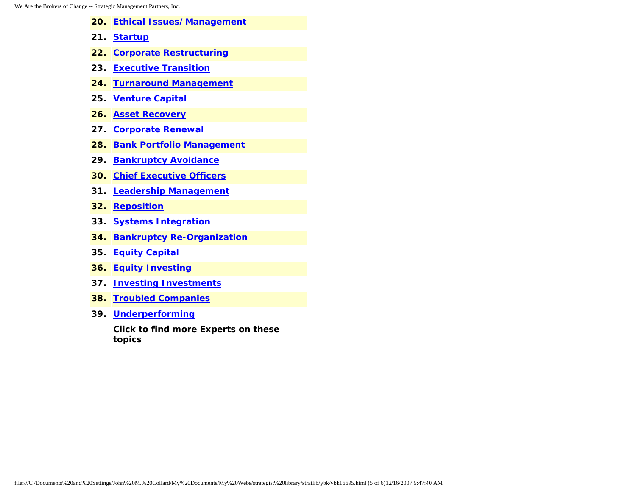- **20. [Ethical Issues/Management](http://www.expertclick.com/search/default.cfm?SearchCriteria=Ethical Issues/Management)**
- **21. [Startup](http://www.expertclick.com/search/default.cfm?SearchCriteria=Startup)**
- **22. [Corporate Restructuring](http://www.expertclick.com/search/default.cfm?SearchCriteria=Corporate Restructuring)**
- **23. [Executive Transition](http://www.expertclick.com/search/default.cfm?SearchCriteria=Executive Transition)**
- **24. [Turnaround Management](http://www.expertclick.com/search/default.cfm?SearchCriteria=Turnaround Management)**
- **25. [Venture Capital](http://www.expertclick.com/search/default.cfm?SearchCriteria=Venture Capital)**
- **26. [Asset Recovery](http://www.expertclick.com/search/default.cfm?SearchCriteria=Asset Recovery)**
- **27. [Corporate Renewal](http://www.expertclick.com/search/default.cfm?SearchCriteria=Corporate Renewal)**
- **28. [Bank Portfolio Management](http://www.expertclick.com/search/default.cfm?SearchCriteria=Bank Portfolio Management)**
- **29. [Bankruptcy Avoidance](http://www.expertclick.com/search/default.cfm?SearchCriteria=Bankruptcy Avoidance)**
- **30. [Chief Executive Officers](http://www.expertclick.com/search/default.cfm?SearchCriteria=Chief Executive Officers)**
- **31. [Leadership Management](http://www.expertclick.com/search/default.cfm?SearchCriteria=Leadership Management)**
- **32. [Reposition](http://www.expertclick.com/search/default.cfm?SearchCriteria=Reposition)**
- **33. [Systems Integration](http://www.expertclick.com/search/default.cfm?SearchCriteria=Systems Integration)**
- **34. [Bankruptcy Re-Organization](http://www.expertclick.com/search/default.cfm?SearchCriteria=Bankruptcy Re-Organization)**
- **35. [Equity Capital](http://www.expertclick.com/search/default.cfm?SearchCriteria=Equity Capital)**
- **36. [Equity Investing](http://www.expertclick.com/search/default.cfm?SearchCriteria=Equity Investing)**
- **37. [Investing Investments](http://www.expertclick.com/search/default.cfm?SearchCriteria=Investing Investments)**
- **38. [Troubled Companies](http://www.expertclick.com/search/default.cfm?SearchCriteria=Troubled Companies)**
- **39. [Underperforming](http://www.expertclick.com/search/default.cfm?SearchCriteria=Underperforming)**

**Click to find more Experts on these topics**